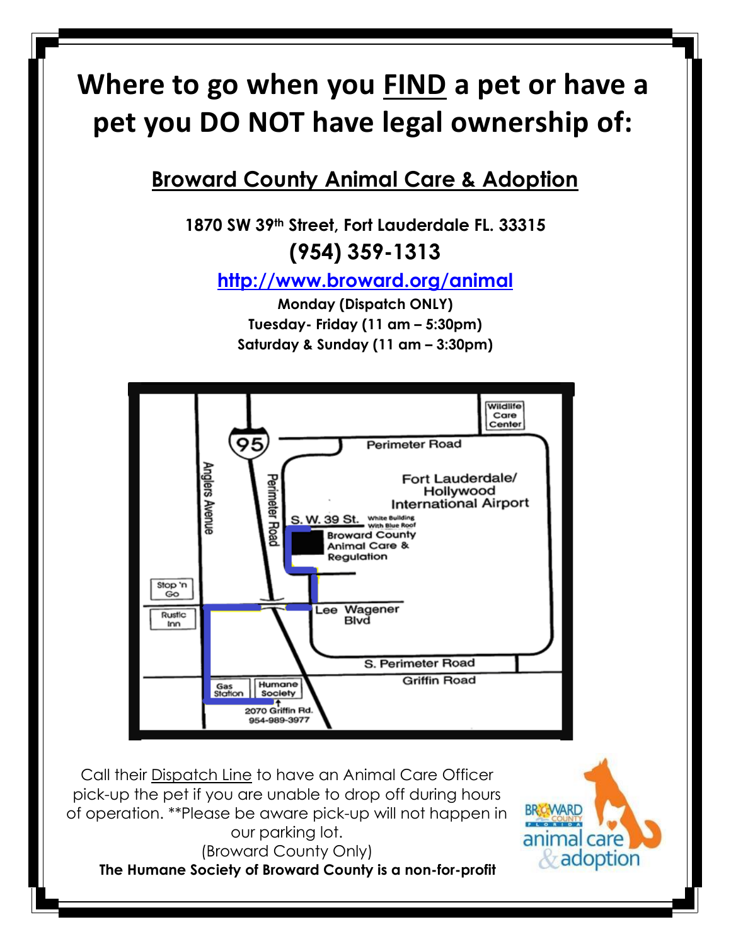# **Where to go when you FIND a pet or have a pet you DO NOT have legal ownership of:**

## **Broward County Animal Care & Adoption**

**1870 SW 39th Street, Fort Lauderdale FL. 33315 (954) 359-1313**

**<http://www.broward.org/animal>**

**Monday (Dispatch ONLY) Tuesday- Friday (11 am – 5:30pm) Saturday & Sunday (11 am – 3:30pm)**



Call their Dispatch Line to have an Animal Care Officer pick-up the pet if you are unable to drop off during hours of operation. \*\*Please be aware pick-up will not happen in our parking lot. (Broward County Only) **The Humane Society of Broward County is a non-for-profit**